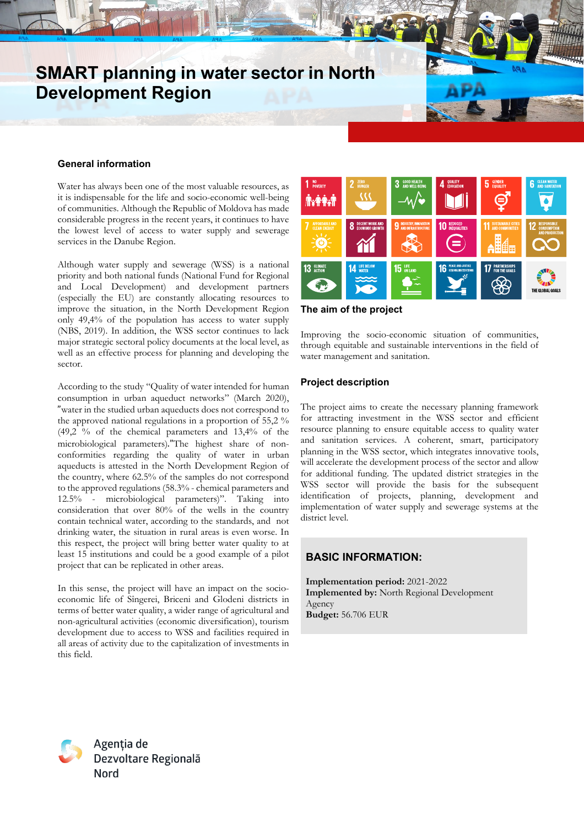# **SMART planning in water sector in North Development Region**

#### **General information**

Water has always been one of the most valuable resources, as it is indispensable for the life and socio-economic well-being of communities. Although the Republic of Moldova has made considerable progress in the recent years, it continues to have the lowest level of access to water supply and sewerage services in the Danube Region.

Although water supply and sewerage (WSS) is a national priority and both national funds (National Fund for Regional and Local Development) and development partners (especially the EU) are constantly allocating resources to improve the situation, in the North Development Region only 49,4% of the population has access to water supply (NBS, 2019). In addition, the WSS sector continues to lack major strategic sectoral policy documents at the local level, as well as an effective process for planning and developing the sector.

According to the study "Quality of water intended for human consumption in urban aqueduct networks" (March 2020), "water in the studied urban aqueducts does not correspond to the approved national regulations in a proportion of 55,2 % (49,2 % of the chemical parameters and 13,4% of the microbiological parameters)."The highest share of nonconformities regarding the quality of water in urban aqueducts is attested in the North Development Region of the country, where 62.5% of the samples do not correspond to the approved regulations (58.3% - chemical parameters and 12.5% - microbiological parameters)". Taking into consideration that over 80% of the wells in the country contain technical water, according to the standards, and not drinking water, the situation in rural areas is even worse. In this respect, the project will bring better water quality to at least 15 institutions and could be a good example of a pilot project that can be replicated in other areas.

In this sense, the project will have an impact on the socioeconomic life of Sîngerei, Briceni and Glodeni districts in terms of better water quality, a wider range of agricultural and non-agricultural activities (economic diversification), tourism development due to access to WSS and facilities required in all areas of activity due to the capitalization of investments in this field.



#### **The aim of the project**

Improving the socio-economic situation of communities, through equitable and sustainable interventions in the field of water management and sanitation.

### **Project description**

The project aims to create the necessary planning framework for attracting investment in the WSS sector and efficient resource planning to ensure equitable access to quality water and sanitation services. A coherent, smart, participatory planning in the WSS sector, which integrates innovative tools, will accelerate the development process of the sector and allow for additional funding. The updated district strategies in the WSS sector will provide the basis for the subsequent identification of projects, planning, development and implementation of water supply and sewerage systems at the district level.

## **BASIC INFORMATION:**

**Implementation period:** 2021-2022 **Implemented by:** North Regional Development Agency **Budget:** 56.706 EUR



Agenția de Dezvoltare Regională **Nord**